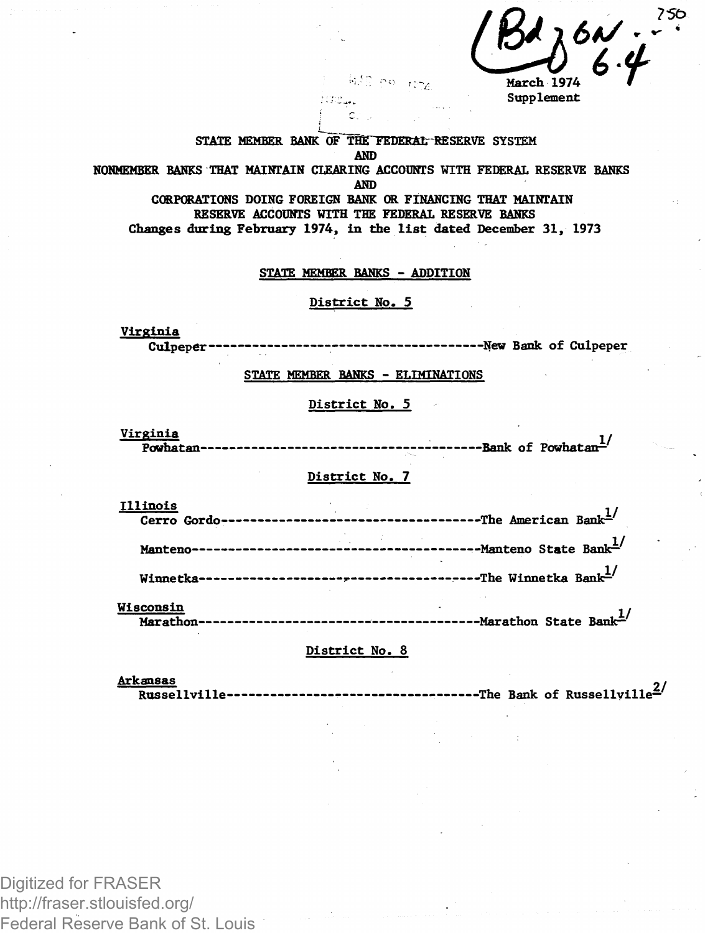*Bd*  $\frac{184}{4000}$  6.4

**, Supplement**

**STATE memkkt? BANK OF TlE TEDERAL RESERVE SYSTEM AND** 

**NONMEMBER BANKS THAI MAINTAIN CLEARING ACCOUNTS WITH FEDERAL RESERVE BANKS**

**AND** 

**CORPORATIONS DOING FOREIGN BANK OR FINANCING THAT MAINTAIN RESERVE ACCOUNTS WITH THE FEDERAL RESERVE BANKS Changes during February 1974, in the list dated December 31, 1973**

**STATE MKMRRB BANKS - ADDITION**

**District No. 5**

**Virginia Culpeper New Bank of Culpeper**

**STATE MKMfflER BANKS - ELIMINATIONS**

**District No. 5**

**Virginia 1/ Powhatan Bank of Powhatan—**

## **District No. 7**

| <b>Illinois</b>  |  |
|------------------|--|
|                  |  |
|                  |  |
| <b>Wisconsin</b> |  |

## **District No. 8**

**Arkansas 2/ Russellville The Bank of Russellville—**

Digitized for FRASER http://fraser.stlouisfed.org/ Federal Reserve Bank of St. Louis